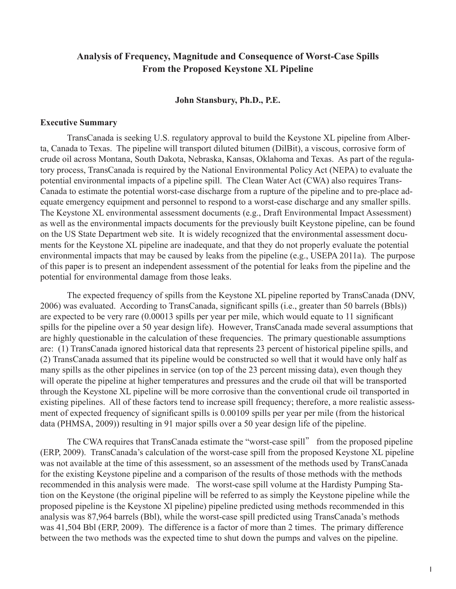# **Analysis of Frequency, Magnitude and Consequence of Worst-Case Spills From the Proposed Keystone XL Pipeline**

## **John Stansbury, Ph.D., P.E.**

### **Executive Summary**

TransCanada is seeking U.S. regulatory approval to build the Keystone XL pipeline from Alberta, Canada to Texas. The pipeline will transport diluted bitumen (DilBit), a viscous, corrosive form of crude oil across Montana, South Dakota, Nebraska, Kansas, Oklahoma and Texas. As part of the regulatory process, TransCanada is required by the National Environmental Policy Act (NEPA) to evaluate the potential environmental impacts of a pipeline spill. The Clean Water Act (CWA) also requires Trans-Canada to estimate the potential worst-case discharge from a rupture of the pipeline and to pre-place adequate emergency equipment and personnel to respond to a worst-case discharge and any smaller spills. The Keystone XL environmental assessment documents (e.g., Draft Environmental Impact Assessment) as well as the environmental impacts documents for the previously built Keystone pipeline, can be found on the US State Department web site. It is widely recognized that the environmental assessment documents for the Keystone XL pipeline are inadequate, and that they do not properly evaluate the potential environmental impacts that may be caused by leaks from the pipeline (e.g., USEPA 2011a). The purpose of this paper is to present an independent assessment of the potential for leaks from the pipeline and the potential for environmental damage from those leaks.

The expected frequency of spills from the Keystone XL pipeline reported by TransCanada (DNV, 2006) was evaluated. According to TransCanada, significant spills (i.e., greater than 50 barrels (Bbls)) are expected to be very rare (0.00013 spills per year per mile, which would equate to 11 significant spills for the pipeline over a 50 year design life). However, TransCanada made several assumptions that are highly questionable in the calculation of these frequencies. The primary questionable assumptions are: (1) TransCanada ignored historical data that represents 23 percent of historical pipeline spills, and (2) TransCanada assumed that its pipeline would be constructed so well that it would have only half as many spills as the other pipelines in service (on top of the 23 percent missing data), even though they will operate the pipeline at higher temperatures and pressures and the crude oil that will be transported through the Keystone XL pipeline will be more corrosive than the conventional crude oil transported in existing pipelines. All of these factors tend to increase spill frequency; therefore, a more realistic assessment of expected frequency of significant spills is 0.00109 spills per year per mile (from the historical data (PHMSA, 2009)) resulting in 91 major spills over a 50 year design life of the pipeline.

The CWA requires that TransCanada estimate the "worst-case spill" from the proposed pipeline (ERP, 2009). TransCanada's calculation of the worst-case spill from the proposed Keystone XL pipeline was not available at the time of this assessment, so an assessment of the methods used by TransCanada for the existing Keystone pipeline and a comparison of the results of those methods with the methods recommended in this analysis were made. The worst-case spill volume at the Hardisty Pumping Station on the Keystone (the original pipeline will be referred to as simply the Keystone pipeline while the proposed pipeline is the Keystone Xl pipeline) pipeline predicted using methods recommended in this analysis was 87,964 barrels (Bbl), while the worst-case spill predicted using TransCanada's methods was 41,504 Bbl (ERP, 2009). The difference is a factor of more than 2 times. The primary difference between the two methods was the expected time to shut down the pumps and valves on the pipeline.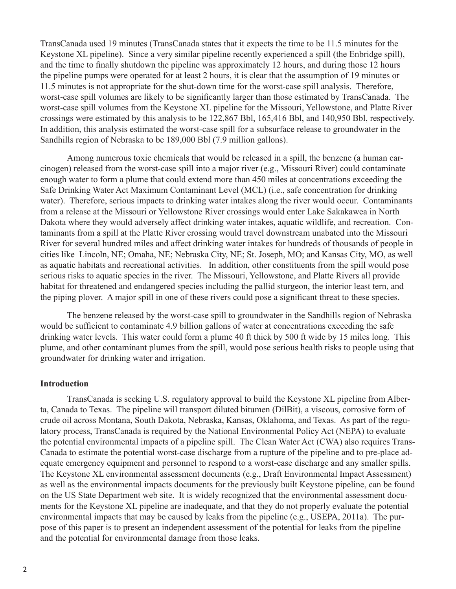TransCanada used 19 minutes (TransCanada states that it expects the time to be 11.5 minutes for the Keystone XL pipeline). Since a very similar pipeline recently experienced a spill (the Enbridge spill), and the time to finally shutdown the pipeline was approximately 12 hours, and during those 12 hours the pipeline pumps were operated for at least 2 hours, it is clear that the assumption of 19 minutes or 11.5 minutes is not appropriate for the shut-down time for the worst-case spill analysis. Therefore, worst-case spill volumes are likely to be significantly larger than those estimated by TransCanada. The worst-case spill volumes from the Keystone XL pipeline for the Missouri, Yellowstone, and Platte River crossings were estimated by this analysis to be 122,867 Bbl, 165,416 Bbl, and 140,950 Bbl, respectively. In addition, this analysis estimated the worst-case spill for a subsurface release to groundwater in the Sandhills region of Nebraska to be 189,000 Bbl (7.9 million gallons).

Among numerous toxic chemicals that would be released in a spill, the benzene (a human carcinogen) released from the worst-case spill into a major river (e.g., Missouri River) could contaminate enough water to form a plume that could extend more than 450 miles at concentrations exceeding the Safe Drinking Water Act Maximum Contaminant Level (MCL) (i.e., safe concentration for drinking water). Therefore, serious impacts to drinking water intakes along the river would occur. Contaminants from a release at the Missouri or Yellowstone River crossings would enter Lake Sakakawea in North Dakota where they would adversely affect drinking water intakes, aquatic wildlife, and recreation. Contaminants from a spill at the Platte River crossing would travel downstream unabated into the Missouri River for several hundred miles and affect drinking water intakes for hundreds of thousands of people in cities like Lincoln, NE; Omaha, NE; Nebraska City, NE; St. Joseph, MO; and Kansas City, MO, as well as aquatic habitats and recreational activities. In addition, other constituents from the spill would pose serious risks to aquatic species in the river. The Missouri, Yellowstone, and Platte Rivers all provide habitat for threatened and endangered species including the pallid sturgeon, the interior least tern, and the piping plover. A major spill in one of these rivers could pose a significant threat to these species.

The benzene released by the worst-case spill to groundwater in the Sandhills region of Nebraska would be sufficient to contaminate 4.9 billion gallons of water at concentrations exceeding the safe drinking water levels. This water could form a plume 40 ft thick by 500 ft wide by 15 miles long. This plume, and other contaminant plumes from the spill, would pose serious health risks to people using that groundwater for drinking water and irrigation.

#### **Introduction**

TransCanada is seeking U.S. regulatory approval to build the Keystone XL pipeline from Alberta, Canada to Texas. The pipeline will transport diluted bitumen (DilBit), a viscous, corrosive form of crude oil across Montana, South Dakota, Nebraska, Kansas, Oklahoma, and Texas. As part of the regulatory process, TransCanada is required by the National Environmental Policy Act (NEPA) to evaluate the potential environmental impacts of a pipeline spill. The Clean Water Act (CWA) also requires Trans-Canada to estimate the potential worst-case discharge from a rupture of the pipeline and to pre-place adequate emergency equipment and personnel to respond to a worst-case discharge and any smaller spills. The Keystone XL environmental assessment documents (e.g., Draft Environmental Impact Assessment) as well as the environmental impacts documents for the previously built Keystone pipeline, can be found on the US State Department web site. It is widely recognized that the environmental assessment documents for the Keystone XL pipeline are inadequate, and that they do not properly evaluate the potential environmental impacts that may be caused by leaks from the pipeline (e.g., USEPA, 2011a). The purpose of this paper is to present an independent assessment of the potential for leaks from the pipeline and the potential for environmental damage from those leaks.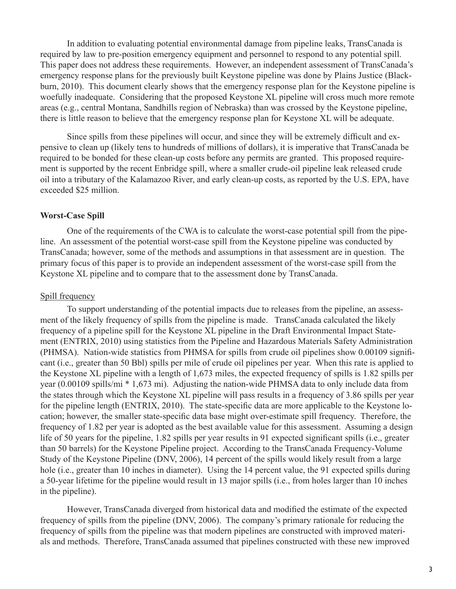In addition to evaluating potential environmental damage from pipeline leaks, TransCanada is required by law to pre-position emergency equipment and personnel to respond to any potential spill. This paper does not address these requirements. However, an independent assessment of TransCanada's emergency response plans for the previously built Keystone pipeline was done by Plains Justice (Blackburn, 2010). This document clearly shows that the emergency response plan for the Keystone pipeline is woefully inadequate. Considering that the proposed Keystone XL pipeline will cross much more remote areas (e.g., central Montana, Sandhills region of Nebraska) than was crossed by the Keystone pipeline, there is little reason to believe that the emergency response plan for Keystone XL will be adequate.

Since spills from these pipelines will occur, and since they will be extremely difficult and expensive to clean up (likely tens to hundreds of millions of dollars), it is imperative that TransCanada be required to be bonded for these clean-up costs before any permits are granted. This proposed requirement is supported by the recent Enbridge spill, where a smaller crude-oil pipeline leak released crude oil into a tributary of the Kalamazoo River, and early clean-up costs, as reported by the U.S. EPA, have exceeded \$25 million.

### **Worst-Case Spill**

One of the requirements of the CWA is to calculate the worst-case potential spill from the pipeline. An assessment of the potential worst-case spill from the Keystone pipeline was conducted by TransCanada; however, some of the methods and assumptions in that assessment are in question. The primary focus of this paper is to provide an independent assessment of the worst-case spill from the Keystone XL pipeline and to compare that to the assessment done by TransCanada.

### Spill frequency

To support understanding of the potential impacts due to releases from the pipeline, an assessment of the likely frequency of spills from the pipeline is made. TransCanada calculated the likely frequency of a pipeline spill for the Keystone XL pipeline in the Draft Environmental Impact Statement (ENTRIX, 2010) using statistics from the Pipeline and Hazardous Materials Safety Administration (PHMSA). Nation-wide statistics from PHMSA for spills from crude oil pipelines show 0.00109 significant (i.e., greater than 50 Bbl) spills per mile of crude oil pipelines per year. When this rate is applied to the Keystone XL pipeline with a length of 1,673 miles, the expected frequency of spills is 1.82 spills per year (0.00109 spills/mi \* 1,673 mi). Adjusting the nation-wide PHMSA data to only include data from the states through which the Keystone XL pipeline will pass results in a frequency of 3.86 spills per year for the pipeline length (ENTRIX, 2010). The state-specific data are more applicable to the Keystone location; however, the smaller state-specific data base might over-estimate spill frequency. Therefore, the frequency of 1.82 per year is adopted as the best available value for this assessment. Assuming a design life of 50 years for the pipeline, 1.82 spills per year results in 91 expected significant spills (i.e., greater than 50 barrels) for the Keystone Pipeline project. According to the TransCanada Frequency-Volume Study of the Keystone Pipeline (DNV, 2006), 14 percent of the spills would likely result from a large hole (i.e., greater than 10 inches in diameter). Using the 14 percent value, the 91 expected spills during a 50-year lifetime for the pipeline would result in 13 major spills (i.e., from holes larger than 10 inches in the pipeline).

However, TransCanada diverged from historical data and modified the estimate of the expected frequency of spills from the pipeline (DNV, 2006). The company's primary rationale for reducing the frequency of spills from the pipeline was that modern pipelines are constructed with improved materials and methods. Therefore, TransCanada assumed that pipelines constructed with these new improved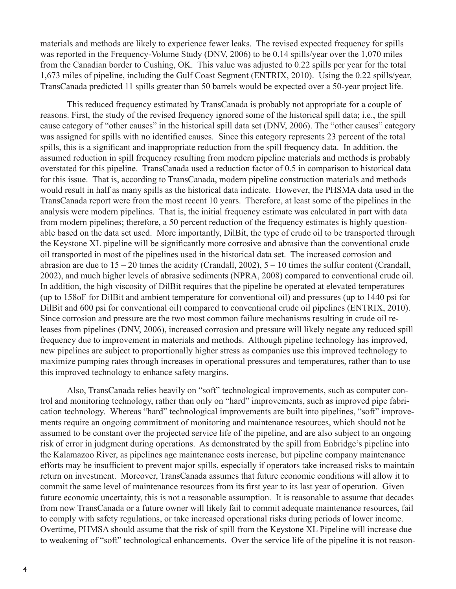materials and methods are likely to experience fewer leaks. The revised expected frequency for spills was reported in the Frequency-Volume Study (DNV, 2006) to be 0.14 spills/year over the 1,070 miles from the Canadian border to Cushing, OK. This value was adjusted to 0.22 spills per year for the total 1,673 miles of pipeline, including the Gulf Coast Segment (ENTRIX, 2010). Using the 0.22 spills/year, TransCanada predicted 11 spills greater than 50 barrels would be expected over a 50-year project life.

This reduced frequency estimated by TransCanada is probably not appropriate for a couple of reasons. First, the study of the revised frequency ignored some of the historical spill data; i.e., the spill cause category of "other causes" in the historical spill data set (DNV, 2006). The "other causes" category was assigned for spills with no identified causes. Since this category represents 23 percent of the total spills, this is a significant and inappropriate reduction from the spill frequency data. In addition, the assumed reduction in spill frequency resulting from modern pipeline materials and methods is probably overstated for this pipeline. TransCanada used a reduction factor of 0.5 in comparison to historical data for this issue. That is, according to TransCanada, modern pipeline construction materials and methods would result in half as many spills as the historical data indicate. However, the PHSMA data used in the TransCanada report were from the most recent 10 years. Therefore, at least some of the pipelines in the analysis were modern pipelines. That is, the initial frequency estimate was calculated in part with data from modern pipelines; therefore, a 50 percent reduction of the frequency estimates is highly questionable based on the data set used. More importantly, DilBit, the type of crude oil to be transported through the Keystone XL pipeline will be significantly more corrosive and abrasive than the conventional crude oil transported in most of the pipelines used in the historical data set. The increased corrosion and abrasion are due to  $15 - 20$  times the acidity (Crandall, 2002),  $5 - 10$  times the sulfur content (Crandall, 2002), and much higher levels of abrasive sediments (NPRA, 2008) compared to conventional crude oil. In addition, the high viscosity of DilBit requires that the pipeline be operated at elevated temperatures (up to 158oF for DilBit and ambient temperature for conventional oil) and pressures (up to 1440 psi for DilBit and 600 psi for conventional oil) compared to conventional crude oil pipelines (ENTRIX, 2010). Since corrosion and pressure are the two most common failure mechanisms resulting in crude oil releases from pipelines (DNV, 2006), increased corrosion and pressure will likely negate any reduced spill frequency due to improvement in materials and methods. Although pipeline technology has improved, new pipelines are subject to proportionally higher stress as companies use this improved technology to maximize pumping rates through increases in operational pressures and temperatures, rather than to use this improved technology to enhance safety margins.

Also, TransCanada relies heavily on "soft" technological improvements, such as computer control and monitoring technology, rather than only on "hard" improvements, such as improved pipe fabrication technology. Whereas "hard" technological improvements are built into pipelines, "soft" improvements require an ongoing commitment of monitoring and maintenance resources, which should not be assumed to be constant over the projected service life of the pipeline, and are also subject to an ongoing risk of error in judgment during operations. As demonstrated by the spill from Enbridge's pipeline into the Kalamazoo River, as pipelines age maintenance costs increase, but pipeline company maintenance efforts may be insufficient to prevent major spills, especially if operators take increased risks to maintain return on investment. Moreover, TransCanada assumes that future economic conditions will allow it to commit the same level of maintenance resources from its first year to its last year of operation. Given future economic uncertainty, this is not a reasonable assumption. It is reasonable to assume that decades from now TransCanada or a future owner will likely fail to commit adequate maintenance resources, fail to comply with safety regulations, or take increased operational risks during periods of lower income. Overtime, PHMSA should assume that the risk of spill from the Keystone XL Pipeline will increase due to weakening of "soft" technological enhancements. Over the service life of the pipeline it is not reason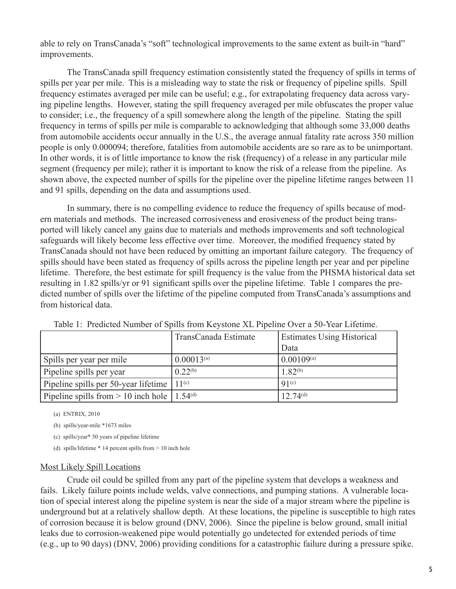able to rely on TransCanada's "soft" technological improvements to the same extent as built-in "hard" improvements.

The TransCanada spill frequency estimation consistently stated the frequency of spills in terms of spills per year per mile. This is a misleading way to state the risk or frequency of pipeline spills. Spill frequency estimates averaged per mile can be useful; e.g., for extrapolating frequency data across varying pipeline lengths. However, stating the spill frequency averaged per mile obfuscates the proper value to consider; i.e., the frequency of a spill somewhere along the length of the pipeline. Stating the spill frequency in terms of spills per mile is comparable to acknowledging that although some 33,000 deaths from automobile accidents occur annually in the U.S., the average annual fatality rate across 350 million people is only 0.000094; therefore, fatalities from automobile accidents are so rare as to be unimportant. In other words, it is of little importance to know the risk (frequency) of a release in any particular mile segment (frequency per mile); rather it is important to know the risk of a release from the pipeline. As shown above, the expected number of spills for the pipeline over the pipeline lifetime ranges between 11 and 91 spills, depending on the data and assumptions used.

In summary, there is no compelling evidence to reduce the frequency of spills because of modern materials and methods. The increased corrosiveness and erosiveness of the product being transported will likely cancel any gains due to materials and methods improvements and soft technological safeguards will likely become less effective over time. Moreover, the modified frequency stated by TransCanada should not have been reduced by omitting an important failure category. The frequency of spills should have been stated as frequency of spills across the pipeline length per year and per pipeline lifetime. Therefore, the best estimate for spill frequency is the value from the PHSMA historical data set resulting in 1.82 spills/yr or 91 significant spills over the pipeline lifetime. Table 1 compares the predicted number of spills over the lifetime of the pipeline computed from TransCanada's assumptions and from historical data.

|                                                             | TransCanada Estimate | <b>Estimates Using Historical</b> |
|-------------------------------------------------------------|----------------------|-----------------------------------|
|                                                             |                      | Data                              |
| Spills per year per mile                                    | $0.00013^{(a)}$      | $0.00109^{(a)}$                   |
| Pipeline spills per year                                    | $0.22^{(b)}$         | $1.82^{(b)}$                      |
| Pipeline spills per 50-year lifetime                        | $11^{(c)}$           | 91 <sup>(c)</sup>                 |
| Pipeline spills from $> 10$ inch hole   1.54 <sup>(d)</sup> |                      | $12.74^{(d)}$                     |

Table 1: Predicted Number of Spills from Keystone XL Pipeline Over a 50-Year Lifetime.

(a) ENTRIX, 2010

(b) spills/year-mile \*1673 miles

(c) spills/year\* 50 years of pipeline lifetime

(d) spills/lifetime \* 14 percent spills from > 10 inch hole

#### Most Likely Spill Locations

Crude oil could be spilled from any part of the pipeline system that develops a weakness and fails. Likely failure points include welds, valve connections, and pumping stations. A vulnerable location of special interest along the pipeline system is near the side of a major stream where the pipeline is underground but at a relatively shallow depth. At these locations, the pipeline is susceptible to high rates of corrosion because it is below ground (DNV, 2006). Since the pipeline is below ground, small initial leaks due to corrosion-weakened pipe would potentially go undetected for extended periods of time (e.g., up to 90 days) (DNV, 2006) providing conditions for a catastrophic failure during a pressure spike.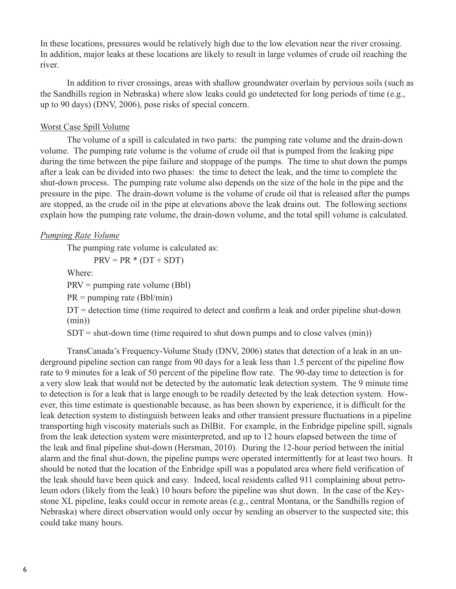In these locations, pressures would be relatively high due to the low elevation near the river crossing. In addition, major leaks at these locations are likely to result in large volumes of crude oil reaching the river.

In addition to river crossings, areas with shallow groundwater overlain by pervious soils (such as the Sandhills region in Nebraska) where slow leaks could go undetected for long periods of time (e.g., up to 90 days) (DNV, 2006), pose risks of special concern.

# Worst Case Spill Volume

The volume of a spill is calculated in two parts: the pumping rate volume and the drain-down volume. The pumping rate volume is the volume of crude oil that is pumped from the leaking pipe during the time between the pipe failure and stoppage of the pumps. The time to shut down the pumps after a leak can be divided into two phases: the time to detect the leak, and the time to complete the shut-down process. The pumping rate volume also depends on the size of the hole in the pipe and the pressure in the pipe. The drain-down volume is the volume of crude oil that is released after the pumps are stopped, as the crude oil in the pipe at elevations above the leak drains out. The following sections explain how the pumping rate volume, the drain-down volume, and the total spill volume is calculated.

# *Pumping Rate Volume*

The pumping rate volume is calculated as:

 $PRV = PR * (DT + SDT)$ 

Where:

PRV = pumping rate volume (Bbl)

 $PR =$  pumping rate (Bbl/min)

 $DT =$  detection time (time required to detect and confirm a leak and order pipeline shut-down (min))

 $SDT =$  shut-down time (time required to shut down pumps and to close valves (min))

TransCanada's Frequency-Volume Study (DNV, 2006) states that detection of a leak in an underground pipeline section can range from 90 days for a leak less than 1.5 percent of the pipeline flow rate to 9 minutes for a leak of 50 percent of the pipeline flow rate. The 90-day time to detection is for a very slow leak that would not be detected by the automatic leak detection system. The 9 minute time to detection is for a leak that is large enough to be readily detected by the leak detection system. However, this time estimate is questionable because, as has been shown by experience, it is difficult for the leak detection system to distinguish between leaks and other transient pressure fluctuations in a pipeline transporting high viscosity materials such as DilBit. For example, in the Enbridge pipeline spill, signals from the leak detection system were misinterpreted, and up to 12 hours elapsed between the time of the leak and final pipeline shut-down (Hersman, 2010). During the 12-hour period between the initial alarm and the final shut-down, the pipeline pumps were operated intermittently for at least two hours. It should be noted that the location of the Enbridge spill was a populated area where field verification of the leak should have been quick and easy. Indeed, local residents called 911 complaining about petroleum odors (likely from the leak) 10 hours before the pipeline was shut down. In the case of the Keystone XL pipeline, leaks could occur in remote areas (e.g., central Montana, or the Sandhills region of Nebraska) where direct observation would only occur by sending an observer to the suspected site; this could take many hours.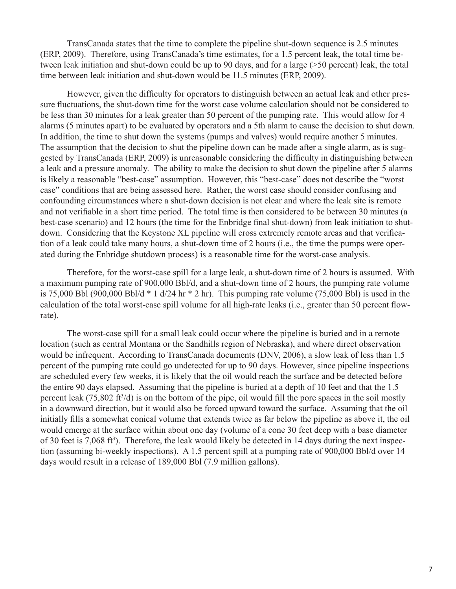TransCanada states that the time to complete the pipeline shut-down sequence is 2.5 minutes (ERP, 2009). Therefore, using TransCanada's time estimates, for a 1.5 percent leak, the total time between leak initiation and shut-down could be up to 90 days, and for a large (>50 percent) leak, the total time between leak initiation and shut-down would be 11.5 minutes (ERP, 2009).

However, given the difficulty for operators to distinguish between an actual leak and other pressure fluctuations, the shut-down time for the worst case volume calculation should not be considered to be less than 30 minutes for a leak greater than 50 percent of the pumping rate. This would allow for 4 alarms (5 minutes apart) to be evaluated by operators and a 5th alarm to cause the decision to shut down. In addition, the time to shut down the systems (pumps and valves) would require another 5 minutes. The assumption that the decision to shut the pipeline down can be made after a single alarm, as is suggested by TransCanada (ERP, 2009) is unreasonable considering the difficulty in distinguishing between a leak and a pressure anomaly. The ability to make the decision to shut down the pipeline after 5 alarms is likely a reasonable "best-case" assumption. However, this "best-case" does not describe the "worst case" conditions that are being assessed here. Rather, the worst case should consider confusing and confounding circumstances where a shut-down decision is not clear and where the leak site is remote and not verifiable in a short time period. The total time is then considered to be between 30 minutes (a best-case scenario) and 12 hours (the time for the Enbridge final shut-down) from leak initiation to shutdown. Considering that the Keystone XL pipeline will cross extremely remote areas and that verification of a leak could take many hours, a shut-down time of 2 hours (i.e., the time the pumps were operated during the Enbridge shutdown process) is a reasonable time for the worst-case analysis.

Therefore, for the worst-case spill for a large leak, a shut-down time of 2 hours is assumed. With a maximum pumping rate of 900,000 Bbl/d, and a shut-down time of 2 hours, the pumping rate volume is 75,000 Bbl (900,000 Bbl/d  $*$  1 d/24 hr  $*$  2 hr). This pumping rate volume (75,000 Bbl) is used in the calculation of the total worst-case spill volume for all high-rate leaks (i.e., greater than 50 percent flowrate).

The worst-case spill for a small leak could occur where the pipeline is buried and in a remote location (such as central Montana or the Sandhills region of Nebraska), and where direct observation would be infrequent. According to TransCanada documents (DNV, 2006), a slow leak of less than 1.5 percent of the pumping rate could go undetected for up to 90 days. However, since pipeline inspections are scheduled every few weeks, it is likely that the oil would reach the surface and be detected before the entire 90 days elapsed. Assuming that the pipeline is buried at a depth of 10 feet and that the 1.5 percent leak (75,802 ft<sup>3</sup>/d) is on the bottom of the pipe, oil would fill the pore spaces in the soil mostly in a downward direction, but it would also be forced upward toward the surface. Assuming that the oil initially fills a somewhat conical volume that extends twice as far below the pipeline as above it, the oil would emerge at the surface within about one day (volume of a cone 30 feet deep with a base diameter of 30 feet is 7,068 ft<sup>3</sup>). Therefore, the leak would likely be detected in 14 days during the next inspection (assuming bi-weekly inspections). A 1.5 percent spill at a pumping rate of 900,000 Bbl/d over 14 days would result in a release of 189,000 Bbl (7.9 million gallons).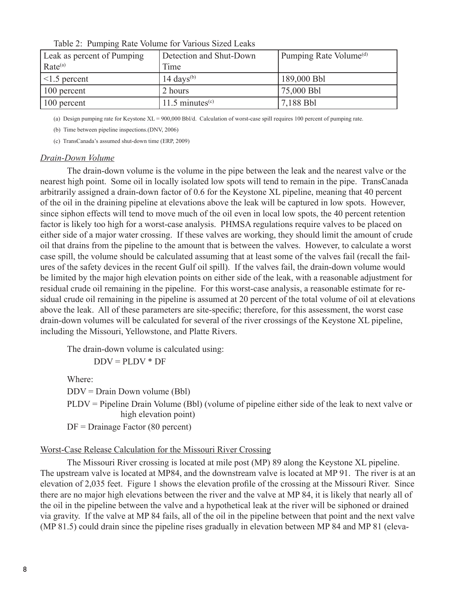| Leak as percent of Pumping | Detection and Shut-Down | Pumping Rate Volume <sup>(d)</sup> |
|----------------------------|-------------------------|------------------------------------|
| Rate <sup>(a)</sup>        | Time                    |                                    |
| $ $ <1.5 percent           | 14 days $(b)$           | 189,000 Bbl                        |
| 100 percent                | 2 hours                 | 75,000 Bbl                         |
| 100 percent                | 11.5 minutes $(c)$      | 7,188 Bbl                          |

Table 2: Pumping Rate Volume for Various Sized Leaks

(a) Design pumping rate for Keystone XL = 900,000 Bbl/d. Calculation of worst-case spill requires 100 percent of pumping rate.

(b) Time between pipeline inspections.(DNV, 2006)

(c) TransCanada's assumed shut-down time (ERP, 2009)

#### *Drain-Down Volume*

The drain-down volume is the volume in the pipe between the leak and the nearest valve or the nearest high point. Some oil in locally isolated low spots will tend to remain in the pipe. TransCanada arbitrarily assigned a drain-down factor of 0.6 for the Keystone XL pipeline, meaning that 40 percent of the oil in the draining pipeline at elevations above the leak will be captured in low spots. However, since siphon effects will tend to move much of the oil even in local low spots, the 40 percent retention factor is likely too high for a worst-case analysis. PHMSA regulations require valves to be placed on either side of a major water crossing. If these valves are working, they should limit the amount of crude oil that drains from the pipeline to the amount that is between the valves. However, to calculate a worst case spill, the volume should be calculated assuming that at least some of the valves fail (recall the failures of the safety devices in the recent Gulf oil spill). If the valves fail, the drain-down volume would be limited by the major high elevation points on either side of the leak, with a reasonable adjustment for residual crude oil remaining in the pipeline. For this worst-case analysis, a reasonable estimate for residual crude oil remaining in the pipeline is assumed at 20 percent of the total volume of oil at elevations above the leak. All of these parameters are site-specific; therefore, for this assessment, the worst case drain-down volumes will be calculated for several of the river crossings of the Keystone XL pipeline, including the Missouri, Yellowstone, and Platte Rivers.

The drain-down volume is calculated using:

 $DDV = PLDV * DF$ 

Where: DDV = Drain Down volume (Bbl) PLDV = Pipeline Drain Volume (Bbl) (volume of pipeline either side of the leak to next valve or high elevation point) DF = Drainage Factor (80 percent)

#### Worst-Case Release Calculation for the Missouri River Crossing

The Missouri River crossing is located at mile post (MP) 89 along the Keystone XL pipeline. The upstream valve is located at MP84, and the downstream valve is located at MP 91. The river is at an elevation of 2,035 feet. Figure 1 shows the elevation profile of the crossing at the Missouri River. Since there are no major high elevations between the river and the valve at MP 84, it is likely that nearly all of the oil in the pipeline between the valve and a hypothetical leak at the river will be siphoned or drained via gravity. If the valve at MP 84 fails, all of the oil in the pipeline between that point and the next valve (MP 81.5) could drain since the pipeline rises gradually in elevation between MP 84 and MP 81 (eleva-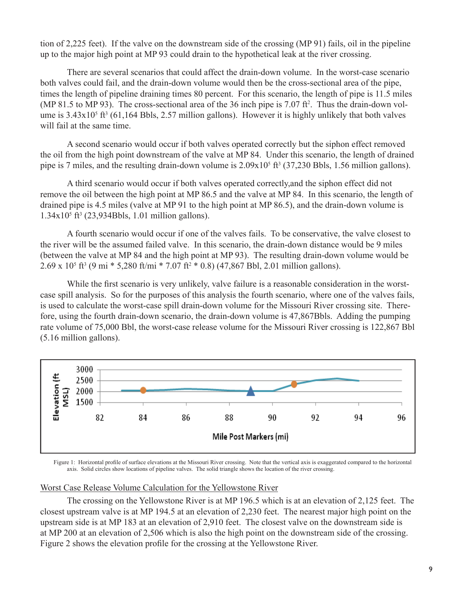tion of 2,225 feet). If the valve on the downstream side of the crossing (MP 91) fails, oil in the pipeline up to the major high point at MP 93 could drain to the hypothetical leak at the river crossing.

There are several scenarios that could affect the drain-down volume. In the worst-case scenario both valves could fail, and the drain-down volume would then be the cross-sectional area of the pipe, times the length of pipeline draining times 80 percent. For this scenario, the length of pipe is 11.5 miles (MP 81.5 to MP 93). The cross-sectional area of the 36 inch pipe is  $7.07$  ft<sup>2</sup>. Thus the drain-down volume is  $3.43 \times 10^5$  ft<sup>3</sup> (61,164 Bbls, 2.57 million gallons). However it is highly unlikely that both valves will fail at the same time.

A second scenario would occur if both valves operated correctly but the siphon effect removed the oil from the high point downstream of the valve at MP 84. Under this scenario, the length of drained pipe is 7 miles, and the resulting drain-down volume is  $2.09x10^5$  ft<sup>3</sup> (37,230 Bbls, 1.56 million gallons).

A third scenario would occur if both valves operated correctly,and the siphon effect did not remove the oil between the high point at MP 86.5 and the valve at MP 84. In this scenario, the length of drained pipe is 4.5 miles (valve at MP 91 to the high point at MP 86.5), and the drain-down volume is 1.34x105 ft3 (23,934Bbls, 1.01 million gallons).

A fourth scenario would occur if one of the valves fails. To be conservative, the valve closest to the river will be the assumed failed valve. In this scenario, the drain-down distance would be 9 miles (between the valve at MP 84 and the high point at MP 93). The resulting drain-down volume would be  $2.69 \times 10^5$  ft<sup>3</sup> (9 mi \* 5,280 ft/mi \* 7.07 ft<sup>2</sup> \* 0.8) (47,867 Bbl, 2.01 million gallons).

While the first scenario is very unlikely, valve failure is a reasonable consideration in the worstcase spill analysis. So for the purposes of this analysis the fourth scenario, where one of the valves fails, is used to calculate the worst-case spill drain-down volume for the Missouri River crossing site. Therefore, using the fourth drain-down scenario, the drain-down volume is 47,867Bbls. Adding the pumping rate volume of 75,000 Bbl, the worst-case release volume for the Missouri River crossing is 122,867 Bbl (5.16 million gallons).



Figure 1: Horizontal profile of surface elevations at the Missouri River crossing. Note that the vertical axis is exaggerated compared to the horizontal axis. Solid circles show locations of pipeline valves. The solid triangle shows the location of the river crossing.

# Worst Case Release Volume Calculation for the Yellowstone River

The crossing on the Yellowstone River is at MP 196.5 which is at an elevation of 2,125 feet. The closest upstream valve is at MP 194.5 at an elevation of 2,230 feet. The nearest major high point on the upstream side is at MP 183 at an elevation of 2,910 feet. The closest valve on the downstream side is at MP 200 at an elevation of 2,506 which is also the high point on the downstream side of the crossing. Figure 2 shows the elevation profile for the crossing at the Yellowstone River.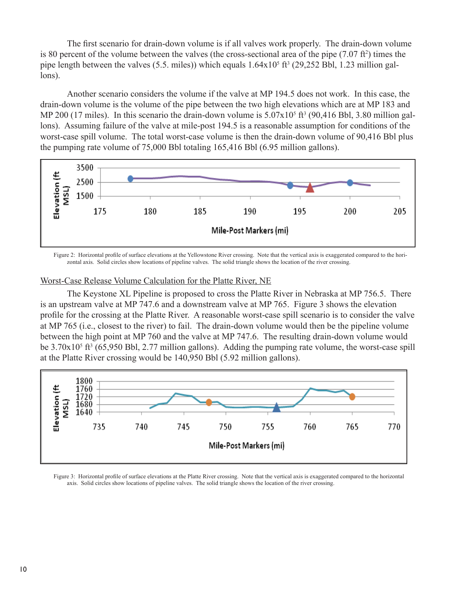The first scenario for drain-down volume is if all valves work properly. The drain-down volume is 80 percent of the volume between the valves (the cross-sectional area of the pipe  $(7.07 \text{ ft}^2)$ ) times the pipe length between the valves (5.5. miles)) which equals  $1.64 \times 10^5$  ft<sup>3</sup> (29,252 Bbl, 1.23 million gallons).

Another scenario considers the volume if the valve at MP 194.5 does not work. In this case, the drain-down volume is the volume of the pipe between the two high elevations which are at MP 183 and MP 200 (17 miles). In this scenario the drain-down volume is  $5.07 \times 10^5$  ft<sup>3</sup> (90,416 Bbl, 3.80 million gallons). Assuming failure of the valve at mile-post 194.5 is a reasonable assumption for conditions of the worst-case spill volume. The total worst-case volume is then the drain-down volume of 90,416 Bbl plus the pumping rate volume of 75,000 Bbl totaling 165,416 Bbl (6.95 million gallons).



Figure 2: Horizontal profile of surface elevations at the Yellowstone River crossing. Note that the vertical axis is exaggerated compared to the horizontal axis. Solid circles show locations of pipeline valves. The solid triangle shows the location of the river crossing.

# Worst-Case Release Volume Calculation for the Platte River, NE

The Keystone XL Pipeline is proposed to cross the Platte River in Nebraska at MP 756.5. There is an upstream valve at MP 747.6 and a downstream valve at MP 765. Figure 3 shows the elevation profile for the crossing at the Platte River. A reasonable worst-case spill scenario is to consider the valve at MP 765 (i.e., closest to the river) to fail. The drain-down volume would then be the pipeline volume between the high point at MP 760 and the valve at MP 747.6. The resulting drain-down volume would be  $3.70x10<sup>5</sup>$  ft<sup>3</sup> (65,950 Bbl, 2.77 million gallons). Adding the pumping rate volume, the worst-case spill at the Platte River crossing would be 140,950 Bbl (5.92 million gallons).



Figure 3: Horizontal profile of surface elevations at the Platte River crossing. Note that the vertical axis is exaggerated compared to the horizontal axis. Solid circles show locations of pipeline valves. The solid triangle shows the location of the river crossing.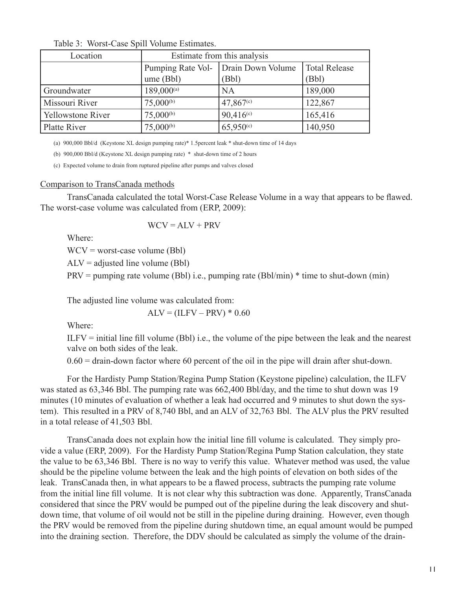| Location                 | Estimate from this analysis    |                            |                               |
|--------------------------|--------------------------------|----------------------------|-------------------------------|
|                          | Pumping Rate Vol-<br>ume (Bbl) | Drain Down Volume<br>(Bbl) | <b>Total Release</b><br>(Bbl) |
| Groundwater              | $189,000^{(a)}$                | <b>NA</b>                  | 189,000                       |
| Missouri River           | $75,000^{(b)}$                 | 47,867 <sup>(c)</sup>      | 122,867                       |
| <b>Yellowstone River</b> | $75,000^{(b)}$                 | $90,416^{(c)}$             | 165,416                       |
| Platte River             | $75,000^{(b)}$                 | $65,950^{\circ}$           | 140,950                       |

Table 3: Worst-Case Spill Volume Estimates.

(a) 900,000 Bbl/d (Keystone XL design pumping rate)\* 1.5percent leak \* shut-down time of 14 days

(b) 900,000 Bbl/d (Keystone XL design pumping rate) \* shut-down time of 2 hours

(c) Expected volume to drain from ruptured pipeline after pumps and valves closed

#### Comparison to TransCanada methods

TransCanada calculated the total Worst-Case Release Volume in a way that appears to be flawed. The worst-case volume was calculated from (ERP, 2009):

$$
WCV = ALV + PRV
$$

Where:

 $WCV = worst-case volume (Bbl)$ 

 $ALV = adjusted line volume (Bbl)$ 

PRV = pumping rate volume (Bbl) i.e., pumping rate (Bbl/min) \* time to shut-down (min)

The adjusted line volume was calculated from:

 $ALV = (ILFV - PRV) * 0.60$ 

Where:

 $ILFV = initial line fill volume (Bbl) i.e., the volume of the pipe between the leak and the nearest$ valve on both sides of the leak.

 $0.60$  = drain-down factor where 60 percent of the oil in the pipe will drain after shut-down.

For the Hardisty Pump Station/Regina Pump Station (Keystone pipeline) calculation, the ILFV was stated as 63,346 Bbl. The pumping rate was 662,400 Bbl/day, and the time to shut down was 19 minutes (10 minutes of evaluation of whether a leak had occurred and 9 minutes to shut down the system). This resulted in a PRV of 8,740 Bbl, and an ALV of 32,763 Bbl. The ALV plus the PRV resulted in a total release of 41,503 Bbl.

TransCanada does not explain how the initial line fill volume is calculated. They simply provide a value (ERP, 2009). For the Hardisty Pump Station/Regina Pump Station calculation, they state the value to be 63,346 Bbl. There is no way to verify this value. Whatever method was used, the value should be the pipeline volume between the leak and the high points of elevation on both sides of the leak. TransCanada then, in what appears to be a flawed process, subtracts the pumping rate volume from the initial line fill volume. It is not clear why this subtraction was done. Apparently, TransCanada considered that since the PRV would be pumped out of the pipeline during the leak discovery and shutdown time, that volume of oil would not be still in the pipeline during draining. However, even though the PRV would be removed from the pipeline during shutdown time, an equal amount would be pumped into the draining section. Therefore, the DDV should be calculated as simply the volume of the drain-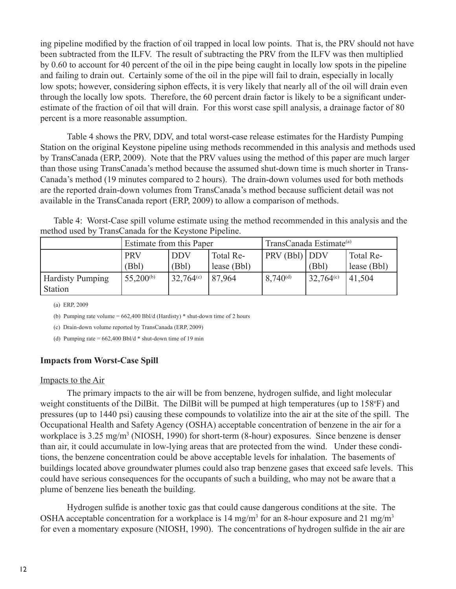ing pipeline modified by the fraction of oil trapped in local low points. That is, the PRV should not have been subtracted from the ILFV. The result of subtracting the PRV from the ILFV was then multiplied by 0.60 to account for 40 percent of the oil in the pipe being caught in locally low spots in the pipeline and failing to drain out. Certainly some of the oil in the pipe will fail to drain, especially in locally low spots; however, considering siphon effects, it is very likely that nearly all of the oil will drain even through the locally low spots. Therefore, the 60 percent drain factor is likely to be a significant underestimate of the fraction of oil that will drain. For this worst case spill analysis, a drainage factor of 80 percent is a more reasonable assumption.

Table 4 shows the PRV, DDV, and total worst-case release estimates for the Hardisty Pumping Station on the original Keystone pipeline using methods recommended in this analysis and methods used by TransCanada (ERP, 2009). Note that the PRV values using the method of this paper are much larger than those using TransCanada's method because the assumed shut-down time is much shorter in Trans-Canada's method (19 minutes compared to 2 hours). The drain-down volumes used for both methods are the reported drain-down volumes from TransCanada's method because sufficient detail was not available in the TransCanada report (ERP, 2009) to allow a comparison of methods.

Table 4: Worst-Case spill volume estimate using the method recommended in this analysis and the method used by TransCanada for the Keystone Pipeline.

|                                    | Estimate from this Paper |                     | TransCanada Estimate <sup>(a)</sup> |               |              |                          |
|------------------------------------|--------------------------|---------------------|-------------------------------------|---------------|--------------|--------------------------|
|                                    | <b>PRV</b><br>(Bbl)      | <b>DDV</b><br>(Bbl) | Total Re-<br>lease (Bbl)            | PRV(Bbl) DDV  | (Bbl)        | Total Re-<br>lease (Bbl) |
| <b>Hardisty Pumping</b><br>Station | $55,200^{(b)}$           | $32,764^{\circ}$    | 87,964                              | $8,740^{(d)}$ | 32,764 $(c)$ | 41,504                   |

(a) ERP, 2009

(b) Pumping rate volume =  $662,400$  Bbl/d (Hardisty) \* shut-down time of 2 hours

(c) Drain-down volume reported by TransCanada (ERP, 2009)

(d) Pumping rate  $= 662,400$  Bbl/d  $*$  shut-down time of 19 min

# **Impacts from Worst-Case Spill**

#### Impacts to the Air

The primary impacts to the air will be from benzene, hydrogen sulfide, and light molecular weight constituents of the DilBit. The DilBit will be pumped at high temperatures (up to 158°F) and pressures (up to 1440 psi) causing these compounds to volatilize into the air at the site of the spill. The Occupational Health and Safety Agency (OSHA) acceptable concentration of benzene in the air for a workplace is 3.25 mg/m<sup>3</sup> (NIOSH, 1990) for short-term (8-hour) exposures. Since benzene is denser than air, it could accumulate in low-lying areas that are protected from the wind. Under these conditions, the benzene concentration could be above acceptable levels for inhalation. The basements of buildings located above groundwater plumes could also trap benzene gases that exceed safe levels. This could have serious consequences for the occupants of such a building, who may not be aware that a plume of benzene lies beneath the building.

Hydrogen sulfide is another toxic gas that could cause dangerous conditions at the site. The OSHA acceptable concentration for a workplace is 14 mg/m<sup>3</sup> for an 8-hour exposure and 21 mg/m<sup>3</sup> for even a momentary exposure (NIOSH, 1990). The concentrations of hydrogen sulfide in the air are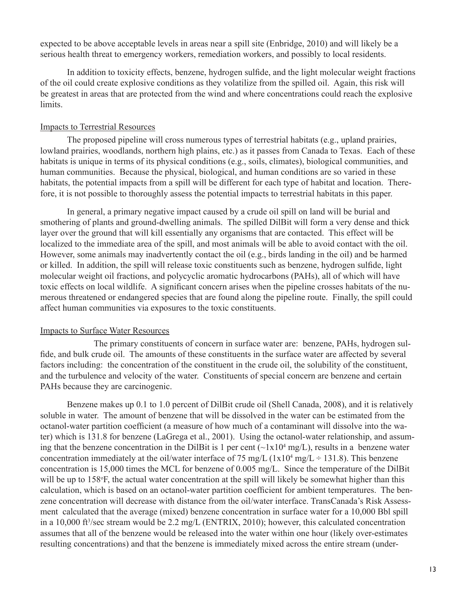expected to be above acceptable levels in areas near a spill site (Enbridge, 2010) and will likely be a serious health threat to emergency workers, remediation workers, and possibly to local residents.

In addition to toxicity effects, benzene, hydrogen sulfide, and the light molecular weight fractions of the oil could create explosive conditions as they volatilize from the spilled oil. Again, this risk will be greatest in areas that are protected from the wind and where concentrations could reach the explosive limits.

# Impacts to Terrestrial Resources

The proposed pipeline will cross numerous types of terrestrial habitats (e.g., upland prairies, lowland prairies, woodlands, northern high plains, etc.) as it passes from Canada to Texas. Each of these habitats is unique in terms of its physical conditions (e.g., soils, climates), biological communities, and human communities. Because the physical, biological, and human conditions are so varied in these habitats, the potential impacts from a spill will be different for each type of habitat and location. Therefore, it is not possible to thoroughly assess the potential impacts to terrestrial habitats in this paper.

In general, a primary negative impact caused by a crude oil spill on land will be burial and smothering of plants and ground-dwelling animals. The spilled DilBit will form a very dense and thick layer over the ground that will kill essentially any organisms that are contacted. This effect will be localized to the immediate area of the spill, and most animals will be able to avoid contact with the oil. However, some animals may inadvertently contact the oil (e.g., birds landing in the oil) and be harmed or killed. In addition, the spill will release toxic constituents such as benzene, hydrogen sulfide, light molecular weight oil fractions, and polycyclic aromatic hydrocarbons (PAHs), all of which will have toxic effects on local wildlife. A significant concern arises when the pipeline crosses habitats of the numerous threatened or endangered species that are found along the pipeline route. Finally, the spill could affect human communities via exposures to the toxic constituents.

# Impacts to Surface Water Resources

The primary constituents of concern in surface water are: benzene, PAHs, hydrogen sulfide, and bulk crude oil. The amounts of these constituents in the surface water are affected by several factors including: the concentration of the constituent in the crude oil, the solubility of the constituent, and the turbulence and velocity of the water. Constituents of special concern are benzene and certain PAHs because they are carcinogenic.

Benzene makes up 0.1 to 1.0 percent of DilBit crude oil (Shell Canada, 2008), and it is relatively soluble in water. The amount of benzene that will be dissolved in the water can be estimated from the octanol-water partition coefficient (a measure of how much of a contaminant will dissolve into the water) which is 131.8 for benzene (LaGrega et al., 2001). Using the octanol-water relationship, and assuming that the benzene concentration in the DilBit is 1 per cent  $(\sim 1x10^4 \text{ mg/L})$ , results in a benzene water concentration immediately at the oil/water interface of 75 mg/L  $(1x10^4 \text{ mg/L} \div 131.8)$ . This benzene concentration is 15,000 times the MCL for benzene of 0.005 mg/L. Since the temperature of the DilBit will be up to 158°F, the actual water concentration at the spill will likely be somewhat higher than this calculation, which is based on an octanol-water partition coefficient for ambient temperatures. The benzene concentration will decrease with distance from the oil/water interface. TransCanada's Risk Assessment calculated that the average (mixed) benzene concentration in surface water for a 10,000 Bbl spill in a 10,000 ft<sup>3</sup>/sec stream would be 2.2 mg/L (ENTRIX, 2010); however, this calculated concentration assumes that all of the benzene would be released into the water within one hour (likely over-estimates resulting concentrations) and that the benzene is immediately mixed across the entire stream (under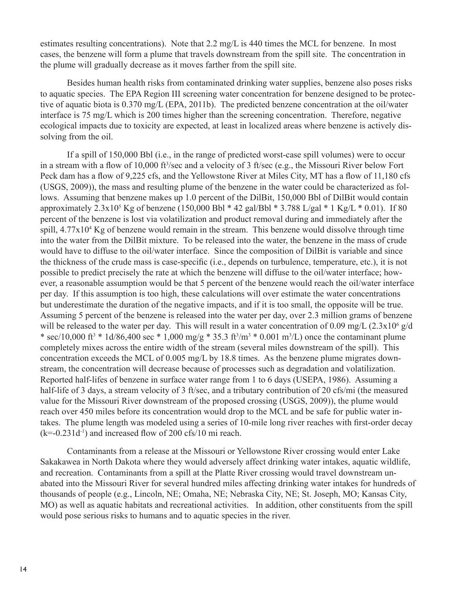estimates resulting concentrations). Note that 2.2 mg/L is 440 times the MCL for benzene. In most cases, the benzene will form a plume that travels downstream from the spill site. The concentration in the plume will gradually decrease as it moves farther from the spill site.

Besides human health risks from contaminated drinking water supplies, benzene also poses risks to aquatic species. The EPA Region III screening water concentration for benzene designed to be protective of aquatic biota is 0.370 mg/L (EPA, 2011b). The predicted benzene concentration at the oil/water interface is 75 mg/L which is 200 times higher than the screening concentration. Therefore, negative ecological impacts due to toxicity are expected, at least in localized areas where benzene is actively dissolving from the oil.

If a spill of 150,000 Bbl (i.e., in the range of predicted worst-case spill volumes) were to occur in a stream with a flow of 10,000 ft<sup>3</sup>/sec and a velocity of 3 ft/sec (e.g., the Missouri River below Fort Peck dam has a flow of 9,225 cfs, and the Yellowstone River at Miles City, MT has a flow of 11,180 cfs (USGS, 2009)), the mass and resulting plume of the benzene in the water could be characterized as follows. Assuming that benzene makes up 1.0 percent of the DilBit, 150,000 Bbl of DilBit would contain approximately 2.3x10<sup>5</sup> Kg of benzene (150,000 Bbl \* 42 gal/Bbl \* 3.788 L/gal \* 1 Kg/L \* 0.01). If 80 percent of the benzene is lost via volatilization and product removal during and immediately after the spill, 4.77x10<sup>4</sup> Kg of benzene would remain in the stream. This benzene would dissolve through time into the water from the DilBit mixture. To be released into the water, the benzene in the mass of crude would have to diffuse to the oil/water interface. Since the composition of DilBit is variable and since the thickness of the crude mass is case-specific (i.e., depends on turbulence, temperature, etc.), it is not possible to predict precisely the rate at which the benzene will diffuse to the oil/water interface; however, a reasonable assumption would be that 5 percent of the benzene would reach the oil/water interface per day. If this assumption is too high, these calculations will over estimate the water concentrations but underestimate the duration of the negative impacts, and if it is too small, the opposite will be true. Assuming 5 percent of the benzene is released into the water per day, over 2.3 million grams of benzene will be released to the water per day. This will result in a water concentration of 0.09 mg/L  $(2.3x10<sup>6</sup> g/d$ \* sec/10,000 ft<sup>3</sup> \* 1d/86,400 sec \* 1,000 mg/g \* 35.3 ft<sup>3</sup>/m<sup>3</sup> \* 0.001 m<sup>3</sup>/L) once the contaminant plume completely mixes across the entire width of the stream (several miles downstream of the spill). This concentration exceeds the MCL of 0.005 mg/L by 18.8 times. As the benzene plume migrates downstream, the concentration will decrease because of processes such as degradation and volatilization. Reported half-lifes of benzene in surface water range from 1 to 6 days (USEPA, 1986). Assuming a half-life of 3 days, a stream velocity of 3 ft/sec, and a tributary contribution of 20 cfs/mi (the measured value for the Missouri River downstream of the proposed crossing (USGS, 2009)), the plume would reach over 450 miles before its concentration would drop to the MCL and be safe for public water intakes. The plume length was modeled using a series of 10-mile long river reaches with first-order decay  $(k=-0.231d^{-1})$  and increased flow of 200 cfs/10 mi reach.

Contaminants from a release at the Missouri or Yellowstone River crossing would enter Lake Sakakawea in North Dakota where they would adversely affect drinking water intakes, aquatic wildlife, and recreation. Contaminants from a spill at the Platte River crossing would travel downstream unabated into the Missouri River for several hundred miles affecting drinking water intakes for hundreds of thousands of people (e.g., Lincoln, NE; Omaha, NE; Nebraska City, NE; St. Joseph, MO; Kansas City, MO) as well as aquatic habitats and recreational activities. In addition, other constituents from the spill would pose serious risks to humans and to aquatic species in the river.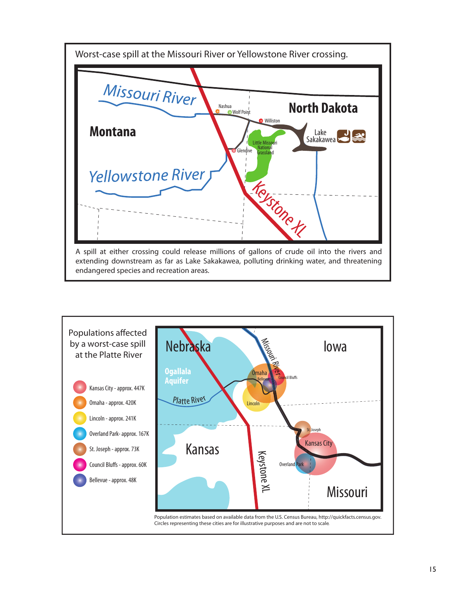

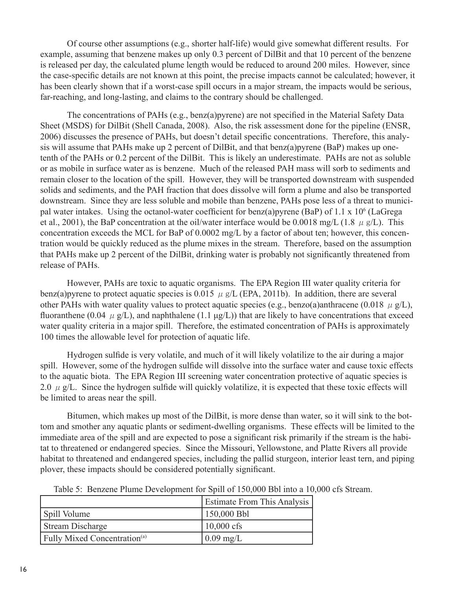Of course other assumptions (e.g., shorter half-life) would give somewhat different results. For example, assuming that benzene makes up only 0.3 percent of DilBit and that 10 percent of the benzene is released per day, the calculated plume length would be reduced to around 200 miles. However, since the case-specific details are not known at this point, the precise impacts cannot be calculated; however, it has been clearly shown that if a worst-case spill occurs in a major stream, the impacts would be serious, far-reaching, and long-lasting, and claims to the contrary should be challenged.

The concentrations of PAHs (e.g., benz(a)pyrene) are not specified in the Material Safety Data Sheet (MSDS) for DilBit (Shell Canada, 2008). Also, the risk assessment done for the pipeline (ENSR, 2006) discusses the presence of PAHs, but doesn't detail specific concentrations. Therefore, this analysis will assume that PAHs make up 2 percent of DilBit, and that benz(a)pyrene (BaP) makes up onetenth of the PAHs or 0.2 percent of the DilBit. This is likely an underestimate. PAHs are not as soluble or as mobile in surface water as is benzene. Much of the released PAH mass will sorb to sediments and remain closer to the location of the spill. However, they will be transported downstream with suspended solids and sediments, and the PAH fraction that does dissolve will form a plume and also be transported downstream. Since they are less soluble and mobile than benzene, PAHs pose less of a threat to municipal water intakes. Using the octanol-water coefficient for benz(a)pyrene (BaP) of 1.1 x 10<sup>6</sup> (LaGrega et al., 2001), the BaP concentration at the oil/water interface would be 0.0018 mg/L (1.8  $\mu$  g/L). This concentration exceeds the MCL for BaP of 0.0002 mg/L by a factor of about ten; however, this concentration would be quickly reduced as the plume mixes in the stream. Therefore, based on the assumption that PAHs make up 2 percent of the DilBit, drinking water is probably not significantly threatened from release of PAHs.

However, PAHs are toxic to aquatic organisms. The EPA Region III water quality criteria for benz(a) pyrene to protect aquatic species is 0.015  $\mu$  g/L (EPA, 2011b). In addition, there are several other PAHs with water quality values to protect aquatic species (e.g., benzo(a)anthracene (0.018  $\mu$  g/L), fluoranthene (0.04  $\mu$  g/L), and naphthalene (1.1  $\mu$ g/L)) that are likely to have concentrations that exceed water quality criteria in a major spill. Therefore, the estimated concentration of PAHs is approximately 100 times the allowable level for protection of aquatic life.

Hydrogen sulfide is very volatile, and much of it will likely volatilize to the air during a major spill. However, some of the hydrogen sulfide will dissolve into the surface water and cause toxic effects to the aquatic biota. The EPA Region III screening water concentration protective of aquatic species is 2.0  $\mu$  g/L. Since the hydrogen sulfide will quickly volatilize, it is expected that these toxic effects will be limited to areas near the spill.

Bitumen, which makes up most of the DilBit, is more dense than water, so it will sink to the bottom and smother any aquatic plants or sediment-dwelling organisms. These effects will be limited to the immediate area of the spill and are expected to pose a significant risk primarily if the stream is the habitat to threatened or endangered species. Since the Missouri, Yellowstone, and Platte Rivers all provide habitat to threatened and endangered species, including the pallid sturgeon, interior least tern, and piping plover, these impacts should be considered potentially significant.

|                                                 | <b>Estimate From This Analysis</b> |
|-------------------------------------------------|------------------------------------|
| Spill Volume                                    | 150,000 Bbl                        |
| Stream Discharge                                | $10,000 \text{ cfs}$               |
| <b>Fully Mixed Concentration</b> <sup>(a)</sup> | $0.09$ mg/L                        |

Table 5: Benzene Plume Development for Spill of 150,000 Bbl into a 10,000 cfs Stream.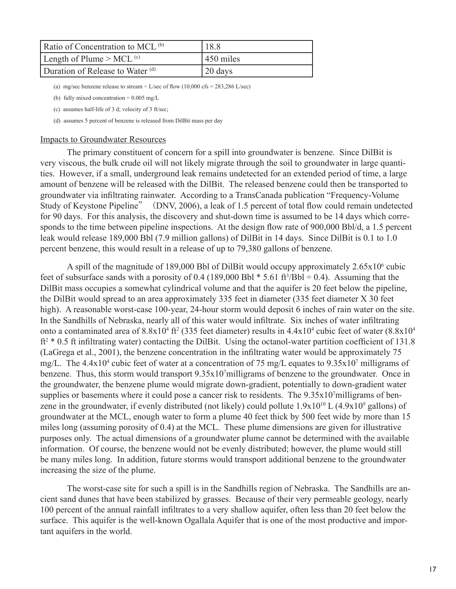| Ratio of Concentration to MCL <sup>(b)</sup> | 18.8               |
|----------------------------------------------|--------------------|
| Length of Plume $>$ MCL <sup>(c)</sup>       | $\sqrt{450}$ miles |
| Duration of Release to Water (d)             | 20 days            |

(a) mg/sec benzene release to stream  $\div$  L/sec of flow (10,000 cfs = 283,286 L/sec)

(b) fully mixed concentration  $\div$  0.005 mg/L

(c) assumes half-life of 3 d; velocity of 3 ft/sec;

(d) assumes 5 percent of benzene is released from DilBit mass per day

#### Impacts to Groundwater Resources

The primary constituent of concern for a spill into groundwater is benzene. Since DilBit is very viscous, the bulk crude oil will not likely migrate through the soil to groundwater in large quantities. However, if a small, underground leak remains undetected for an extended period of time, a large amount of benzene will be released with the DilBit. The released benzene could then be transported to groundwater via infiltrating rainwater. According to a TransCanada publication "Frequency-Volume Study of Keystone Pipeline" (DNV, 2006), a leak of 1.5 percent of total flow could remain undetected for 90 days. For this analysis, the discovery and shut-down time is assumed to be 14 days which corresponds to the time between pipeline inspections. At the design flow rate of 900,000 Bbl/d, a 1.5 percent leak would release 189,000 Bbl (7.9 million gallons) of DilBit in 14 days. Since DilBit is 0.1 to 1.0 percent benzene, this would result in a release of up to 79,380 gallons of benzene.

A spill of the magnitude of 189,000 Bbl of DilBit would occupy approximately  $2.65 \times 10^6$  cubic feet of subsurface sands with a porosity of  $0.4$  (189,000 Bbl  $*$  5.61 ft<sup>3</sup>/Bbl  $\div$  0.4). Assuming that the DilBit mass occupies a somewhat cylindrical volume and that the aquifer is 20 feet below the pipeline, the DilBit would spread to an area approximately 335 feet in diameter (335 feet diameter X 30 feet high). A reasonable worst-case 100-year, 24-hour storm would deposit 6 inches of rain water on the site. In the Sandhills of Nebraska, nearly all of this water would infiltrate. Six inches of water infiltrating onto a contaminated area of  $8.8x10^4$  ft<sup>2</sup> (335 feet diameter) results in  $4.4x10^4$  cubic feet of water  $(8.8x10^4)$ ft<sup>2</sup> \* 0.5 ft infiltrating water) contacting the DilBit. Using the octanol-water partition coefficient of 131.8 (LaGrega et al., 2001), the benzene concentration in the infiltrating water would be approximately 75 mg/L. The 4.4x10<sup>4</sup> cubic feet of water at a concentration of 75 mg/L equates to 9.35x10<sup>7</sup> milligrams of benzene. Thus, this storm would transport  $9.35x10<sup>7</sup>$ milligrams of benzene to the groundwater. Once in the groundwater, the benzene plume would migrate down-gradient, potentially to down-gradient water supplies or basements where it could pose a cancer risk to residents. The 9.35x107 milligrams of benzene in the groundwater, if evenly distributed (not likely) could pollute  $1.9x10^{10}$  L  $(4.9x10^9$  gallons) of groundwater at the MCL, enough water to form a plume 40 feet thick by 500 feet wide by more than 15 miles long (assuming porosity of 0.4) at the MCL. These plume dimensions are given for illustrative purposes only. The actual dimensions of a groundwater plume cannot be determined with the available information. Of course, the benzene would not be evenly distributed; however, the plume would still be many miles long. In addition, future storms would transport additional benzene to the groundwater increasing the size of the plume.

The worst-case site for such a spill is in the Sandhills region of Nebraska. The Sandhills are ancient sand dunes that have been stabilized by grasses. Because of their very permeable geology, nearly 100 percent of the annual rainfall infiltrates to a very shallow aquifer, often less than 20 feet below the surface. This aquifer is the well-known Ogallala Aquifer that is one of the most productive and important aquifers in the world.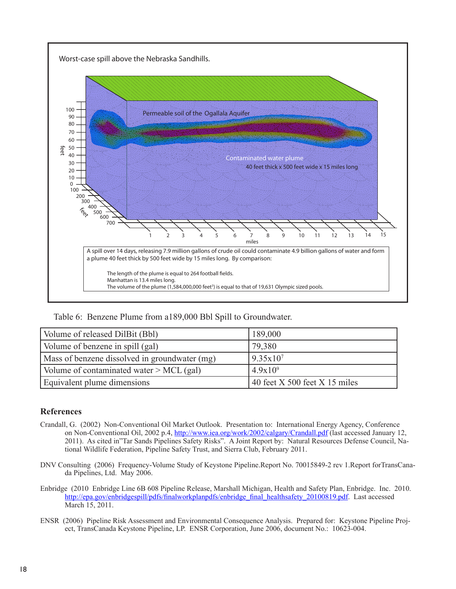

Table 6: Benzene Plume from a189,000 Bbl Spill to Groundwater.

| Volume of released DilBit (Bbl)               | 189,000                                      |
|-----------------------------------------------|----------------------------------------------|
| Volume of benzene in spill (gal)              | 79,380                                       |
| Mass of benzene dissolved in groundwater (mg) | $9.35x10^7$                                  |
| Volume of contaminated water $>$ MCL (gal)    | $4.9x10^{9}$                                 |
| Equivalent plume dimensions                   | $\frac{1}{10}$ 40 feet X 500 feet X 15 miles |

# **References**

- Crandall, G. (2002) Non-Conventional Oil Market Outlook. Presentation to: International Energy Agency, Conference on Non-Conventional Oil, 2002 p.4,<http://www.iea.org/work/2002/calgary/Crandall.pdf> (last accessed January 12, 2011). As cited in"Tar Sands Pipelines Safety Risks". A Joint Report by: Natural Resources Defense Council, National Wildlife Federation, Pipeline Safety Trust, and Sierra Club, February 2011.
- DNV Consulting (2006) Frequency-Volume Study of Keystone Pipeline.Report No. 70015849-2 rev 1.Report forTransCanada Pipelines, Ltd. May 2006.
- Enbridge (2010 Enbridge Line 6B 608 Pipeline Release, Marshall Michigan, Health and Safety Plan, Enbridge. Inc. 2010. [http://epa.gov/enbridgespill/pdfs/finalworkplanpdfs/enbridge\\_final\\_healthsafety\\_20100819.pdf](http://epa.gov/enbridgespill/pdfs/finalworkplanpdfs/enbridge_final_healthsafety_20100819.pdf). Last accessed March 15, 2011.
- ENSR (2006) Pipeline Risk Assessment and Environmental Consequence Analysis. Prepared for: Keystone Pipeline Project, TransCanada Keystone Pipeline, LP. ENSR Corporation, June 2006, document No.: 10623-004.